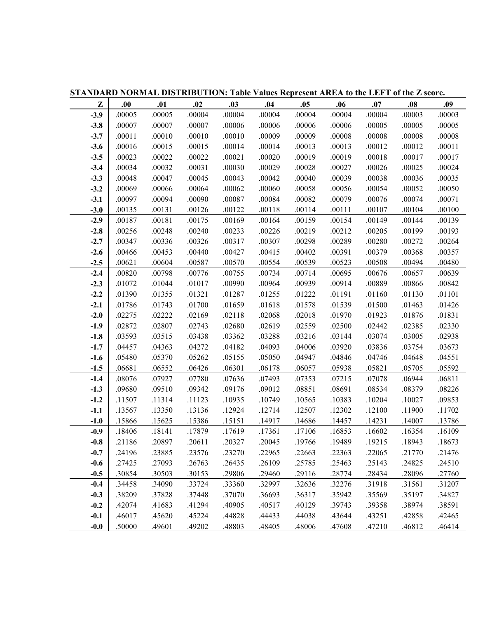|        |        |        |        |        |        | $\sigma$ . The set of the set of the set of the set of the set of the set of the set of the set of $\sigma$ such that $\sigma$ such that $\sigma$ such that $\sigma$ such that $\sigma$ such that $\sigma$ such that $\sigma$ such that $\sigma$ such that $\sigma$ s |        |        |        |        |
|--------|--------|--------|--------|--------|--------|-----------------------------------------------------------------------------------------------------------------------------------------------------------------------------------------------------------------------------------------------------------------------|--------|--------|--------|--------|
| Z      | .00    | .01    | .02    | .03    | .04    | .05                                                                                                                                                                                                                                                                   | .06    | .07    | .08    | .09    |
| $-3.9$ | .00005 | .00005 | .00004 | .00004 | .00004 | .00004                                                                                                                                                                                                                                                                | .00004 | .00004 | .00003 | .00003 |
| $-3.8$ | .00007 | .00007 | .00007 | .00006 | .00006 | .00006                                                                                                                                                                                                                                                                | .00006 | .00005 | .00005 | .00005 |
| $-3.7$ | .00011 | .00010 | .00010 | .00010 | .00009 | .00009                                                                                                                                                                                                                                                                | .00008 | .00008 | .00008 | .00008 |
| $-3.6$ | .00016 | .00015 | .00015 | .00014 | .00014 | .00013                                                                                                                                                                                                                                                                | .00013 | .00012 | .00012 | .00011 |
| $-3.5$ | .00023 | .00022 | .00022 | .00021 | .00020 | .00019                                                                                                                                                                                                                                                                | .00019 | .00018 | .00017 | .00017 |
| $-3.4$ | .00034 | .00032 | .00031 | .00030 | .00029 | .00028                                                                                                                                                                                                                                                                | .00027 | .00026 | .00025 | .00024 |
| $-3.3$ | .00048 | .00047 | .00045 | .00043 | .00042 | .00040                                                                                                                                                                                                                                                                | .00039 | .00038 | .00036 | .00035 |
| $-3.2$ | .00069 | .00066 | .00064 | .00062 | .00060 | .00058                                                                                                                                                                                                                                                                | .00056 | .00054 | .00052 | .00050 |
| $-3.1$ | .00097 | .00094 | .00090 | .00087 | .00084 | .00082                                                                                                                                                                                                                                                                | .00079 | .00076 | .00074 | .00071 |
| $-3.0$ | .00135 | .00131 | .00126 | .00122 | .00118 | .00114                                                                                                                                                                                                                                                                | .00111 | .00107 | .00104 | .00100 |
| $-2.9$ | .00187 | .00181 | .00175 | .00169 | .00164 | .00159                                                                                                                                                                                                                                                                | .00154 | .00149 | .00144 | .00139 |
| $-2.8$ | .00256 | .00248 | .00240 | .00233 | .00226 | .00219                                                                                                                                                                                                                                                                | .00212 | .00205 | .00199 | .00193 |
| $-2.7$ | .00347 | .00336 | .00326 | .00317 | .00307 | .00298                                                                                                                                                                                                                                                                | .00289 | .00280 | .00272 | .00264 |
| $-2.6$ | .00466 | .00453 | .00440 | .00427 | .00415 | .00402                                                                                                                                                                                                                                                                | .00391 | .00379 | .00368 | .00357 |
| $-2.5$ | .00621 | .00604 | .00587 | .00570 | .00554 | .00539                                                                                                                                                                                                                                                                | .00523 | .00508 | .00494 | .00480 |
| $-2.4$ | .00820 | .00798 | .00776 | .00755 | .00734 | .00714                                                                                                                                                                                                                                                                | .00695 | .00676 | .00657 | .00639 |
| $-2.3$ | .01072 | .01044 | .01017 | .00990 | .00964 | .00939                                                                                                                                                                                                                                                                | .00914 | .00889 | .00866 | .00842 |
| $-2.2$ | .01390 | .01355 | .01321 | .01287 | .01255 | .01222                                                                                                                                                                                                                                                                | .01191 | .01160 | .01130 | .01101 |
| $-2.1$ | .01786 | .01743 | .01700 | .01659 | .01618 | .01578                                                                                                                                                                                                                                                                | .01539 | .01500 | .01463 | .01426 |
| $-2.0$ | .02275 | .02222 | .02169 | .02118 | .02068 | .02018                                                                                                                                                                                                                                                                | .01970 | .01923 | .01876 | .01831 |
| $-1.9$ | .02872 | .02807 | .02743 | .02680 | .02619 | .02559                                                                                                                                                                                                                                                                | .02500 | .02442 | .02385 | .02330 |
| $-1.8$ | .03593 | .03515 | .03438 | .03362 | .03288 | .03216                                                                                                                                                                                                                                                                | .03144 | .03074 | .03005 | .02938 |
| $-1.7$ | .04457 | .04363 | .04272 | .04182 | .04093 | .04006                                                                                                                                                                                                                                                                | .03920 | .03836 | .03754 | .03673 |
| $-1.6$ | .05480 | .05370 | .05262 | .05155 | .05050 | .04947                                                                                                                                                                                                                                                                | .04846 | .04746 | .04648 | .04551 |
| $-1.5$ | .06681 | .06552 | .06426 | .06301 | .06178 | .06057                                                                                                                                                                                                                                                                | .05938 | .05821 | .05705 | .05592 |
| $-1.4$ | .08076 | .07927 | .07780 | .07636 | .07493 | .07353                                                                                                                                                                                                                                                                | .07215 | .07078 | .06944 | .06811 |
| $-1.3$ | .09680 | .09510 | .09342 | .09176 | .09012 | .08851                                                                                                                                                                                                                                                                | .08691 | .08534 | .08379 | .08226 |
| $-1.2$ | .11507 | .11314 | .11123 | .10935 | .10749 | .10565                                                                                                                                                                                                                                                                | .10383 | .10204 | .10027 | .09853 |
| $-1.1$ | .13567 | .13350 | .13136 | .12924 | .12714 | .12507                                                                                                                                                                                                                                                                | .12302 | .12100 | .11900 | .11702 |
| $-1.0$ | .15866 | .15625 | .15386 | .15151 | .14917 | .14686                                                                                                                                                                                                                                                                | .14457 | .14231 | .14007 | .13786 |
| $-0.9$ | .18406 | .18141 | .17879 | .17619 | .17361 | .17106                                                                                                                                                                                                                                                                | .16853 | .16602 | .16354 | .16109 |
| $-0.8$ | .21186 | 20897  | .20611 | .20327 | .20045 | .19766                                                                                                                                                                                                                                                                | .19489 | .19215 | .18943 | .18673 |
| $-0.7$ | .24196 | .23885 | .23576 | .23270 | .22965 | .22663                                                                                                                                                                                                                                                                | .22363 | .22065 | .21770 | .21476 |
| $-0.6$ | .27425 | .27093 | .26763 | .26435 | .26109 | .25785                                                                                                                                                                                                                                                                | .25463 | .25143 | .24825 | .24510 |
| $-0.5$ | .30854 | .30503 | .30153 | .29806 | .29460 | .29116                                                                                                                                                                                                                                                                | .28774 | .28434 | .28096 | .27760 |
| $-0.4$ | .34458 | .34090 | .33724 | .33360 | .32997 | .32636                                                                                                                                                                                                                                                                | .32276 | .31918 | .31561 | .31207 |
| $-0.3$ | .38209 | .37828 | .37448 | .37070 | .36693 | .36317                                                                                                                                                                                                                                                                | .35942 | .35569 | .35197 | .34827 |
| $-0.2$ | .42074 | .41683 | .41294 | .40905 | .40517 | .40129                                                                                                                                                                                                                                                                | .39743 | .39358 | .38974 | .38591 |
| $-0.1$ | .46017 | .45620 | .45224 | .44828 | .44433 | .44038                                                                                                                                                                                                                                                                | .43644 | .43251 | .42858 | .42465 |
| $-0.0$ | .50000 | .49601 | .49202 | .48803 | .48405 | .48006                                                                                                                                                                                                                                                                | .47608 | .47210 | .46812 | .46414 |

**STANDARD NORMAL DISTRIBUTION: Table Values Represent AREA to the LEFT of the Z score.**